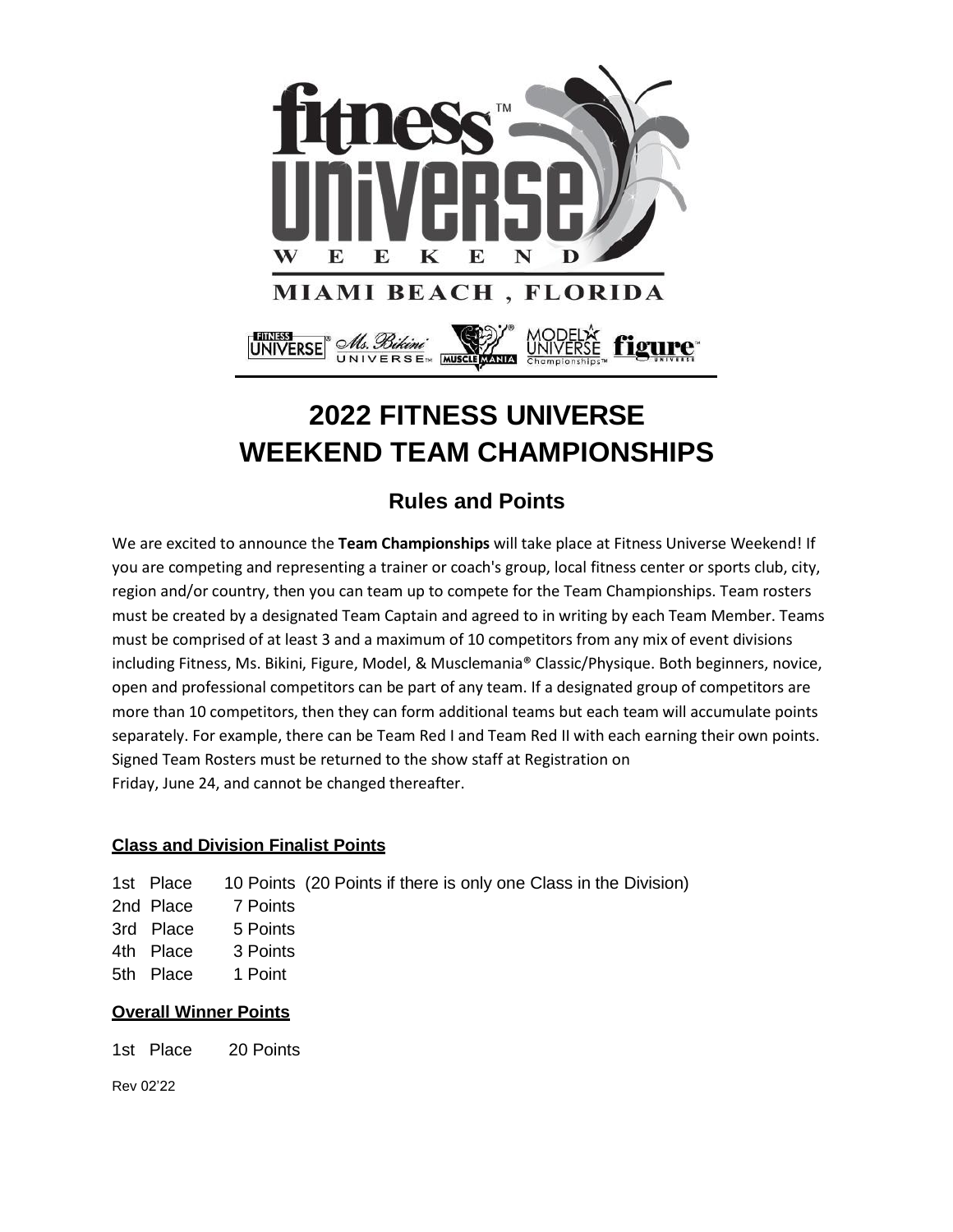

# **2022 FITNESS UNIVERSE WEEKEND TEAM CHAMPIONSHIPS**

### **Rules and Points**

We are excited to announce the **Team Championships** will take place at Fitness Universe Weekend! If you are competing and representing a trainer or coach's group, local fitness center or sports club, city, region and/or country, then you can team up to compete for the Team Championships. Team rosters must be created by a designated Team Captain and agreed to in writing by each Team Member. Teams must be comprised of at least 3 and a maximum of 10 competitors from any mix of event divisions including Fitness, Ms. Bikini, Figure, Model, & Musclemania® Classic/Physique. Both beginners, novice, open and professional competitors can be part of any team. If a designated group of competitors are more than 10 competitors, then they can form additional teams but each team will accumulate points separately. For example, there can be Team Red I and Team Red II with each earning their own points. Signed Team Rosters must be returned to the show staff at Registration on Friday, June 24, and cannot be changed thereafter.

#### **Class and Division Finalist Points**

| 1st Place | 10 Points (20 Points if there is only one Class in the Division) |
|-----------|------------------------------------------------------------------|
|           |                                                                  |

- 2nd Place 7 Points
- 3rd Place 5 Points
- 4th Place 3 Points
- 5th Place 1 Point

#### **Overall Winner Points**

1st Place 20 Points

Rev 02'22